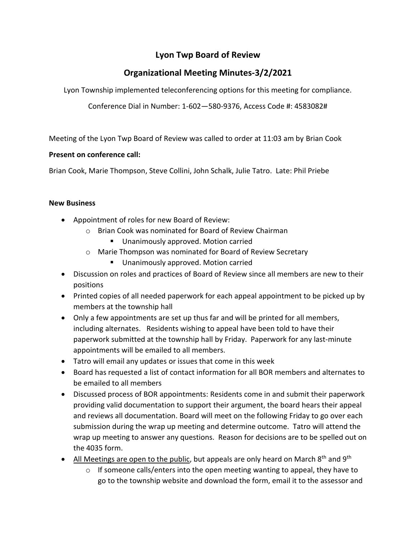## **Lyon Twp Board of Review**

# **Organizational Meeting Minutes-3/2/2021**

Lyon Township implemented teleconferencing options for this meeting for compliance.

Conference Dial in Number: 1-602—580-9376, Access Code #: 4583082#

Meeting of the Lyon Twp Board of Review was called to order at 11:03 am by Brian Cook

### **Present on conference call:**

Brian Cook, Marie Thompson, Steve Collini, John Schalk, Julie Tatro. Late: Phil Priebe

### **New Business**

- Appointment of roles for new Board of Review:
	- o Brian Cook was nominated for Board of Review Chairman
		- Unanimously approved. Motion carried
	- o Marie Thompson was nominated for Board of Review Secretary
		- Unanimously approved. Motion carried
- Discussion on roles and practices of Board of Review since all members are new to their positions
- Printed copies of all needed paperwork for each appeal appointment to be picked up by members at the township hall
- Only a few appointments are set up thus far and will be printed for all members, including alternates. Residents wishing to appeal have been told to have their paperwork submitted at the township hall by Friday. Paperwork for any last-minute appointments will be emailed to all members.
- Tatro will email any updates or issues that come in this week
- Board has requested a list of contact information for all BOR members and alternates to be emailed to all members
- Discussed process of BOR appointments: Residents come in and submit their paperwork providing valid documentation to support their argument, the board hears their appeal and reviews all documentation. Board will meet on the following Friday to go over each submission during the wrap up meeting and determine outcome. Tatro will attend the wrap up meeting to answer any questions. Reason for decisions are to be spelled out on the 4035 form.
- All Meetings are open to the public, but appeals are only heard on March 8<sup>th</sup> and 9<sup>th</sup>
	- $\circ$  If someone calls/enters into the open meeting wanting to appeal, they have to go to the township website and download the form, email it to the assessor and